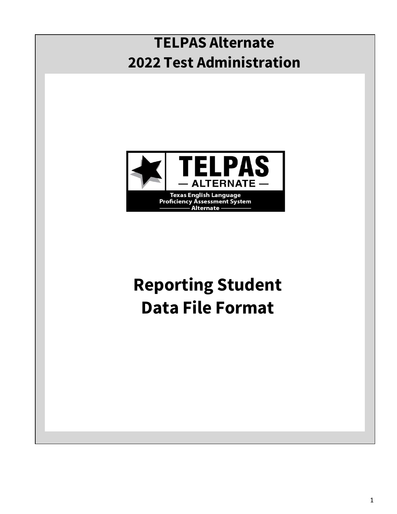## **TELPAS Alternate 2022 Test Administration**



# **Reporting Student Data File Format**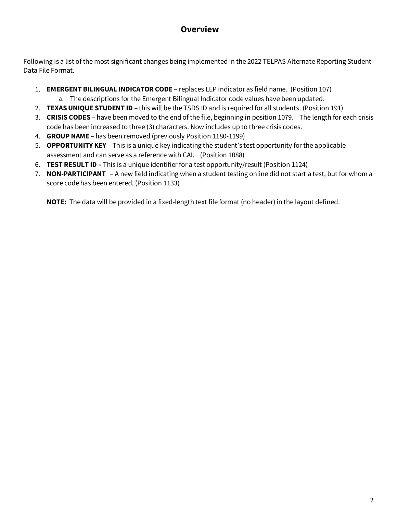### **Overview**

Following is a list of the most significant changes being implemented in the 2022 TELPAS Alternate Reporting Student Data File Format.

- 1. **EMERGENT BILINGUAL INDICATOR CODE** replaces LEP indicator as field name. (Position 107)
	- a. The descriptions for the Emergent Bilingual Indicator code values have been updated.
- 2. **TEXAS UNIQUE STUDENT ID** this will be the TSDS ID and is required for all students. (Position 191)
- 3. **CRISIS CODES** have been moved to the end of the file, beginning in position 1079. The length for each crisis code has been increased to three (3) characters. Now includes up to three crisis codes.
- 4. **GROUP NAME**  has been removed (previously Position 1180-1199)
- 5. **OPPORTUNITY KEY** This is a unique key indicating the student's test opportunity for the applicable assessment and can serve as a reference with CAI. (Position 1088)
- 6. **TEST RESULT ID –** This is a unique identifier for a test opportunity/result (Position 1124)
- 7. **NON-PARTICIPANT**  A new field indicating when a student testing online did not start a test, but for whom a score code has been entered. (Position 1133)

**NOTE:** The data will be provided in a fixed-length text file format (no header) in the layout defined.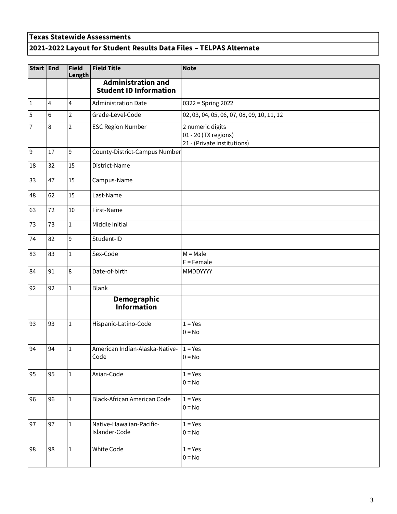### **Texas Statewide Assessments 2021-2022 Layout for Student Results Data Files – TELPAS Alternate**

| Start End      |                | <b>Field</b><br>Length | <b>Field Title</b>                                         | <b>Note</b>                                                             |  |  |
|----------------|----------------|------------------------|------------------------------------------------------------|-------------------------------------------------------------------------|--|--|
|                |                |                        | <b>Administration and</b><br><b>Student ID Information</b> |                                                                         |  |  |
| $\vert$ 1      | $\overline{4}$ | 4                      | <b>Administration Date</b>                                 | 0322 = Spring 2022                                                      |  |  |
| $\overline{5}$ | 6              | $\overline{2}$         | Grade-Level-Code                                           | 02, 03, 04, 05, 06, 07, 08, 09, 10, 11, 12                              |  |  |
| 7              | 8              | $\overline{2}$         | <b>ESC Region Number</b>                                   | 2 numeric digits<br>01 - 20 (TX regions)<br>21 - (Private institutions) |  |  |
| $\overline{9}$ | 17             | $\mathsf 9$            | County-District-Campus Number                              |                                                                         |  |  |
| 18             | 32             | 15                     | District-Name                                              |                                                                         |  |  |
| 33             | 47             | 15                     | Campus-Name                                                |                                                                         |  |  |
| 48             | 62             | 15                     | Last-Name                                                  |                                                                         |  |  |
| 63             | 72             | 10                     | First-Name                                                 |                                                                         |  |  |
| 73             | 73             | 1                      | Middle Initial                                             |                                                                         |  |  |
| 74             | 82             | 9                      | Student-ID                                                 |                                                                         |  |  |
| 83             | 83             | $\mathbf 1$            | Sex-Code                                                   | $M = Male$<br>$F =$ Female                                              |  |  |
| 84             | 91             | 8                      | Date-of-birth                                              | MMDDYYYY                                                                |  |  |
| 92             | 92             | $\mathbf 1$            | <b>Blank</b>                                               |                                                                         |  |  |
|                |                |                        | Demographic<br><b>Information</b>                          |                                                                         |  |  |
| 93             | 93             | $\mathbf 1$            | Hispanic-Latino-Code                                       | $1 = Yes$                                                               |  |  |
|                |                |                        |                                                            | $0 = No$                                                                |  |  |
| 94             | 94             | 1                      | American Indian-Alaska-Native-<br>Code                     | $1 = Yes$<br>$0 = No$                                                   |  |  |
| 95             | 95             | $\mathbf{1}$           | Asian-Code                                                 | $1 = Yes$<br>$0 = No$                                                   |  |  |
| 96             | 96             | $\mathbf{1}$           | Black-African American Code                                | $1 = Yes$<br>$0 = No$                                                   |  |  |
| 97             | 97             | $1\,$                  | Native-Hawaiian-Pacific-<br>Islander-Code                  | $1 = Yes$<br>$0 = No$                                                   |  |  |
| 98             | 98             | 1                      | White Code                                                 | $1 = Yes$<br>$0 = No$                                                   |  |  |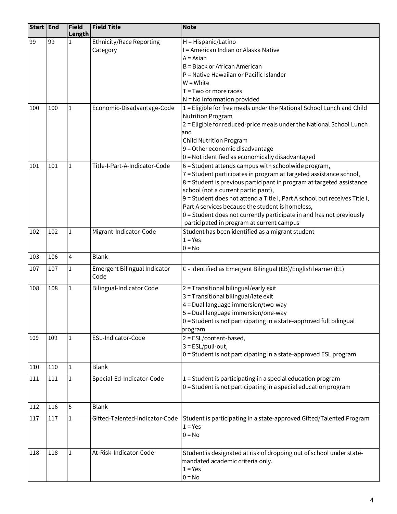| Start End |     | <b>Field</b><br>Length | <b>Field Title</b>                          | <b>Note</b>                                                                                                                      |
|-----------|-----|------------------------|---------------------------------------------|----------------------------------------------------------------------------------------------------------------------------------|
| 99        | 99  | $\mathbf{1}$           | <b>Ethnicity/Race Reporting</b><br>Category | H = Hispanic/Latino<br>I = American Indian or Alaska Native                                                                      |
|           |     |                        |                                             | $A = Asian$                                                                                                                      |
|           |     |                        |                                             | B = Black or African American                                                                                                    |
|           |     |                        |                                             | P = Native Hawaiian or Pacific Islander                                                                                          |
|           |     |                        |                                             | $W = White$                                                                                                                      |
|           |     |                        |                                             | $T = Two$ or more races                                                                                                          |
|           |     |                        |                                             | $N = No$ information provided                                                                                                    |
| 100       | 100 | 1                      | Economic-Disadvantage-Code                  | 1 = Eligible for free meals under the National School Lunch and Child<br><b>Nutrition Program</b>                                |
|           |     |                        |                                             | 2 = Eligible for reduced-price meals under the National School Lunch                                                             |
|           |     |                        |                                             | and                                                                                                                              |
|           |     |                        |                                             | <b>Child Nutrition Program</b>                                                                                                   |
|           |     |                        |                                             | 9 = Other economic disadvantage                                                                                                  |
|           |     |                        |                                             | 0 = Not identified as economically disadvantaged                                                                                 |
| 101       | 101 | 1                      | Title-I-Part-A-Indicator-Code               | 6 = Student attends campus with schoolwide program,                                                                              |
|           |     |                        |                                             | 7 = Student participates in program at targeted assistance school,                                                               |
|           |     |                        |                                             | 8 = Student is previous participant in program at targeted assistance                                                            |
|           |     |                        |                                             | school (not a current participant),                                                                                              |
|           |     |                        |                                             | 9 = Student does not attend a Title I, Part A school but receives Title I,                                                       |
|           |     |                        |                                             | Part A services because the student is homeless,                                                                                 |
|           |     |                        |                                             | 0 = Student does not currently participate in and has not previously                                                             |
|           |     |                        |                                             | participated in program at current campus                                                                                        |
| 102       | 102 | $\mathbf{1}$           | Migrant-Indicator-Code                      | Student has been identified as a migrant student                                                                                 |
|           |     |                        |                                             | $1 = Yes$                                                                                                                        |
| 103       | 106 | 4                      | <b>Blank</b>                                | $0 = No$                                                                                                                         |
| 107       | 107 | 1                      | Emergent Bilingual Indicator                | C - Identified as Emergent Bilingual (EB)/English learner (EL)                                                                   |
|           |     |                        | Code                                        |                                                                                                                                  |
| 108       | 108 | $\mathbf{1}$           | Bilingual-Indicator Code                    | 2 = Transitional bilingual/early exit                                                                                            |
|           |     |                        |                                             | 3 = Transitional bilingual/late exit                                                                                             |
|           |     |                        |                                             | 4 = Dual language immersion/two-way                                                                                              |
|           |     |                        |                                             | 5 = Dual language immersion/one-way                                                                                              |
|           |     |                        |                                             | 0 = Student is not participating in a state-approved full bilingual                                                              |
|           |     |                        |                                             | program                                                                                                                          |
| 109       | 109 | $\mathbf{1}$           | ESL-Indicator-Code                          | $2 = ESL/content-based,$                                                                                                         |
|           |     |                        |                                             | $3 = ESL/pull-out,$                                                                                                              |
|           |     |                        |                                             | 0 = Student is not participating in a state-approved ESL program                                                                 |
| 110       | 110 | 1                      | <b>Blank</b>                                |                                                                                                                                  |
| 111       | 111 | $\mathbf{1}$           | Special-Ed-Indicator-Code                   | $1 =$ Student is participating in a special education program<br>0 = Student is not participating in a special education program |
|           |     |                        |                                             |                                                                                                                                  |
| 112       | 116 | 5                      | <b>Blank</b>                                |                                                                                                                                  |
| 117       | 117 | 1                      | Gifted-Talented-Indicator-Code              | Student is participating in a state-approved Gifted/Talented Program                                                             |
|           |     |                        |                                             | $1 = Yes$                                                                                                                        |
|           |     |                        |                                             | $0 = No$                                                                                                                         |
| 118       | 118 | $\mathbf 1$            | At-Risk-Indicator-Code                      | Student is designated at risk of dropping out of school under state-                                                             |
|           |     |                        |                                             | mandated academic criteria only.                                                                                                 |
|           |     |                        |                                             | $1 = Yes$                                                                                                                        |
|           |     |                        |                                             | $0 = No$                                                                                                                         |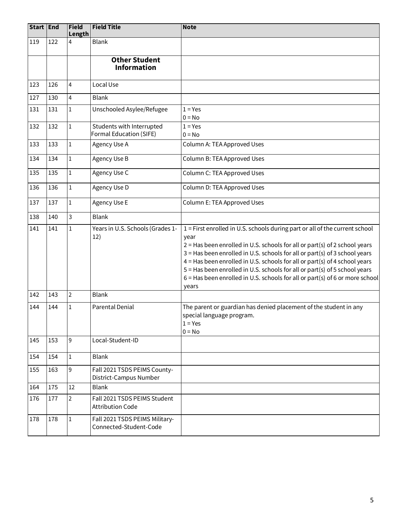| Start End |     | Field<br>Length | <b>Field Title</b>                                       | <b>Note</b>                                                                                                                                                                                                                                                                                                                                                                                                                                                                                            |  |
|-----------|-----|-----------------|----------------------------------------------------------|--------------------------------------------------------------------------------------------------------------------------------------------------------------------------------------------------------------------------------------------------------------------------------------------------------------------------------------------------------------------------------------------------------------------------------------------------------------------------------------------------------|--|
| 119       | 122 | 4               | <b>Blank</b>                                             |                                                                                                                                                                                                                                                                                                                                                                                                                                                                                                        |  |
|           |     |                 | <b>Other Student</b><br><b>Information</b>               |                                                                                                                                                                                                                                                                                                                                                                                                                                                                                                        |  |
| 123       | 126 | 4               | Local Use                                                |                                                                                                                                                                                                                                                                                                                                                                                                                                                                                                        |  |
| 127       | 130 | 4               | <b>Blank</b>                                             |                                                                                                                                                                                                                                                                                                                                                                                                                                                                                                        |  |
| 131       | 131 | $1\,$           | Unschooled Asylee/Refugee                                | $1 = Yes$<br>$0 = No$                                                                                                                                                                                                                                                                                                                                                                                                                                                                                  |  |
| 132       | 132 | $\mathbf{1}$    | Students with Interrupted<br>Formal Education (SIFE)     | $1 = Yes$<br>$0 = No$                                                                                                                                                                                                                                                                                                                                                                                                                                                                                  |  |
| 133       | 133 | $\mathbf{1}$    | Agency Use A                                             | Column A: TEA Approved Uses                                                                                                                                                                                                                                                                                                                                                                                                                                                                            |  |
| 134       | 134 | $\mathbf{1}$    | <b>Agency Use B</b>                                      | Column B: TEA Approved Uses                                                                                                                                                                                                                                                                                                                                                                                                                                                                            |  |
| 135       | 135 | $\mathbf{1}$    | Agency Use C                                             | Column C: TEA Approved Uses                                                                                                                                                                                                                                                                                                                                                                                                                                                                            |  |
| 136       | 136 | $\mathbf{1}$    | Agency Use D                                             | Column D: TEA Approved Uses                                                                                                                                                                                                                                                                                                                                                                                                                                                                            |  |
| 137       | 137 | $1\,$           | Agency Use E                                             | Column E: TEA Approved Uses                                                                                                                                                                                                                                                                                                                                                                                                                                                                            |  |
| 138       | 140 | 3               | <b>Blank</b>                                             |                                                                                                                                                                                                                                                                                                                                                                                                                                                                                                        |  |
| 141       | 141 | $\mathbf 1$     | Years in U.S. Schools (Grades 1-<br>12)                  | 1 = First enrolled in U.S. schools during part or all of the current school<br>year<br>$2$ = Has been enrolled in U.S. schools for all or part(s) of 2 school years<br>3 = Has been enrolled in U.S. schools for all or part(s) of 3 school years<br>4 = Has been enrolled in U.S. schools for all or part(s) of 4 school years<br>5 = Has been enrolled in U.S. schools for all or part(s) of 5 school years<br>6 = Has been enrolled in U.S. schools for all or part(s) of 6 or more school<br>years |  |
| 142       | 143 | $\overline{2}$  | <b>Blank</b>                                             |                                                                                                                                                                                                                                                                                                                                                                                                                                                                                                        |  |
| 144       | 144 | $\mathbf{1}$    | Parental Denial                                          | The parent or guardian has denied placement of the student in any<br>special language program.<br>$1 = Yes$<br>$0 = No$                                                                                                                                                                                                                                                                                                                                                                                |  |
| 145       | 153 | 9               | Local-Student-ID                                         |                                                                                                                                                                                                                                                                                                                                                                                                                                                                                                        |  |
| 154       | 154 | $1\,$           | <b>Blank</b>                                             |                                                                                                                                                                                                                                                                                                                                                                                                                                                                                                        |  |
| 155       | 163 | 9               | Fall 2021 TSDS PEIMS County-<br>District-Campus Number   |                                                                                                                                                                                                                                                                                                                                                                                                                                                                                                        |  |
| 164       | 175 | 12              | <b>Blank</b>                                             |                                                                                                                                                                                                                                                                                                                                                                                                                                                                                                        |  |
| 176       | 177 | $\overline{2}$  | Fall 2021 TSDS PEIMS Student<br><b>Attribution Code</b>  |                                                                                                                                                                                                                                                                                                                                                                                                                                                                                                        |  |
| 178       | 178 | $\mathbf{1}$    | Fall 2021 TSDS PEIMS Military-<br>Connected-Student-Code |                                                                                                                                                                                                                                                                                                                                                                                                                                                                                                        |  |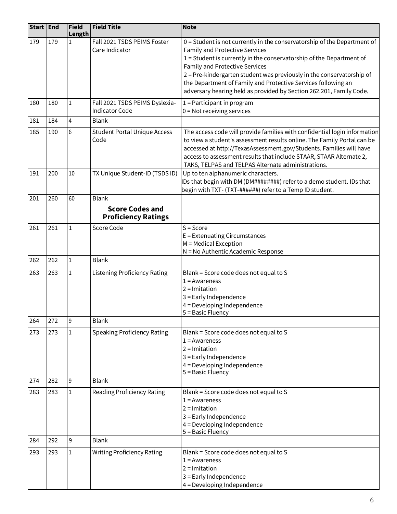| Start End |     | Field<br>Length | <b>Field Title</b>                                      | <b>Note</b>                                                                                                                                                                                                                                                                                                                                              |  |
|-----------|-----|-----------------|---------------------------------------------------------|----------------------------------------------------------------------------------------------------------------------------------------------------------------------------------------------------------------------------------------------------------------------------------------------------------------------------------------------------------|--|
| 179       | 179 |                 | Fall 2021 TSDS PEIMS Foster<br>Care Indicator           | 0 = Student is not currently in the conservatorship of the Department of<br>Family and Protective Services<br>1 = Student is currently in the conservatorship of the Department of<br><b>Family and Protective Services</b>                                                                                                                              |  |
|           |     |                 |                                                         | 2 = Pre-kindergarten student was previously in the conservatorship of<br>the Department of Family and Protective Services following an<br>adversary hearing held as provided by Section 262.201, Family Code.                                                                                                                                            |  |
| 180       | 180 | 1               | Fall 2021 TSDS PEIMS Dyslexia-<br><b>Indicator Code</b> | 1 = Participant in program<br>$0 = Not receiving services$                                                                                                                                                                                                                                                                                               |  |
| 181       | 184 | 4               | <b>Blank</b>                                            |                                                                                                                                                                                                                                                                                                                                                          |  |
| 185       | 190 | 6               | <b>Student Portal Unique Access</b><br>Code             | The access code will provide families with confidential login information<br>to view a student's assessment results online. The Family Portal can be<br>accessed at http://TexasAssessment.gov/Students. Families will have<br>access to assessment results that include STAAR, STAAR Alternate 2,<br>TAKS, TELPAS and TELPAS Alternate administrations. |  |
| 191       | 200 | 10              | TX Unique Student-ID (TSDS ID)                          | Up to ten alphanumeric characters.<br>IDs that begin with DM (DM########) refer to a demo student. IDs that<br>begin with TXT- (TXT-######) refer to a Temp ID student.                                                                                                                                                                                  |  |
| 201       | 260 | 60              | <b>Blank</b>                                            |                                                                                                                                                                                                                                                                                                                                                          |  |
|           |     |                 | <b>Score Codes and</b><br><b>Proficiency Ratings</b>    |                                                                                                                                                                                                                                                                                                                                                          |  |
| 261       | 261 | $\mathbf{1}$    | Score Code                                              | $S = Score$<br>E = Extenuating Circumstances<br>M = Medical Exception<br>N = No Authentic Academic Response                                                                                                                                                                                                                                              |  |
| 262       | 262 | 1               | <b>Blank</b>                                            |                                                                                                                                                                                                                                                                                                                                                          |  |
| 263       | 263 | 1               | <b>Listening Proficiency Rating</b>                     | Blank = Score code does not equal to S<br>$1 =$ Awareness<br>$2 =$ Imitation<br>3 = Early Independence<br>$4 =$ Developing Independence<br>5 = Basic Fluency                                                                                                                                                                                             |  |
| 264       | 272 | 9               | <b>Blank</b>                                            |                                                                                                                                                                                                                                                                                                                                                          |  |
| 273       | 273 | $\mathbf{1}$    | <b>Speaking Proficiency Rating</b>                      | Blank = Score code does not equal to S<br>$1 =$ Awareness<br>$2 =$ Imitation<br>3 = Early Independence<br>4 = Developing Independence<br>5 = Basic Fluency                                                                                                                                                                                               |  |
| 274       | 282 | 9               | <b>Blank</b>                                            |                                                                                                                                                                                                                                                                                                                                                          |  |
| 283       | 283 | $\mathbf 1$     | <b>Reading Proficiency Rating</b>                       | Blank = Score code does not equal to S<br>$1 =$ Awareness<br>$2 =$ Imitation<br>3 = Early Independence<br>4 = Developing Independence<br>$5 = Basic Fluency$                                                                                                                                                                                             |  |
| 284       | 292 | 9               | <b>Blank</b>                                            |                                                                                                                                                                                                                                                                                                                                                          |  |
| 293       | 293 | 1               | <b>Writing Proficiency Rating</b>                       | Blank = Score code does not equal to S<br>$1 =$ Awareness<br>$2 =$ Imitation<br>3 = Early Independence<br>4 = Developing Independence                                                                                                                                                                                                                    |  |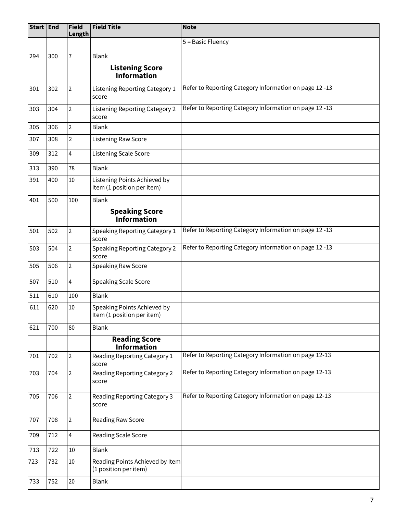| Start End |     | Field<br>Length         | <b>Field Title</b>                                         | <b>Note</b>                                            |
|-----------|-----|-------------------------|------------------------------------------------------------|--------------------------------------------------------|
|           |     |                         |                                                            | 5 = Basic Fluency                                      |
| 294       | 300 | $\overline{1}$          | <b>Blank</b>                                               |                                                        |
|           |     |                         | <b>Listening Score</b><br><b>Information</b>               |                                                        |
| 301       | 302 | $\overline{2}$          | Listening Reporting Category 1<br>score                    | Refer to Reporting Category Information on page 12 -13 |
| 303       | 304 | $\overline{2}$          | <b>Listening Reporting Category 2</b><br>score             | Refer to Reporting Category Information on page 12 -13 |
| 305       | 306 | $\overline{2}$          | <b>Blank</b>                                               |                                                        |
| 307       | 308 | $\overline{2}$          | Listening Raw Score                                        |                                                        |
| 309       | 312 | $\overline{\mathbf{4}}$ | Listening Scale Score                                      |                                                        |
| 313       | 390 | 78                      | <b>Blank</b>                                               |                                                        |
| 391       | 400 | $10\,$                  | Listening Points Achieved by<br>Item (1 position per item) |                                                        |
| 401       | 500 | 100                     | <b>Blank</b>                                               |                                                        |
|           |     |                         | <b>Speaking Score</b><br>.<br>Information                  |                                                        |
| 501       | 502 | $\overline{2}$          | Speaking Reporting Category 1<br>score                     | Refer to Reporting Category Information on page 12 -13 |
| 503       | 504 | $\overline{2}$          | <b>Speaking Reporting Category 2</b><br>score              | Refer to Reporting Category Information on page 12 -13 |
| 505       | 506 | $\overline{2}$          | Speaking Raw Score                                         |                                                        |
| 507       | 510 | $\overline{4}$          | Speaking Scale Score                                       |                                                        |
| 511       | 610 | 100                     | <b>Blank</b>                                               |                                                        |
| 611       | 620 | $10\,$                  | Speaking Points Achieved by<br>Item (1 position per item)  |                                                        |
| 621       | 700 | 80                      | <b>Blank</b>                                               |                                                        |
|           |     |                         | <b>Reading Score</b><br><b>Information</b>                 |                                                        |
| 701       | 702 | $\overline{2}$          | Reading Reporting Category 1<br>score                      | Refer to Reporting Category Information on page 12-13  |
| 703       | 704 | $\overline{2}$          | Reading Reporting Category 2<br>score                      | Refer to Reporting Category Information on page 12-13  |
| 705       | 706 | $\overline{2}$          | Reading Reporting Category 3<br>score                      | Refer to Reporting Category Information on page 12-13  |
| 707       | 708 | $\overline{2}$          | Reading Raw Score                                          |                                                        |
| 709       | 712 | 4                       | Reading Scale Score                                        |                                                        |
| 713       | 722 | $10\,$                  | <b>Blank</b>                                               |                                                        |
| 723       | 732 | $10\,$                  | Reading Points Achieved by Item<br>(1 position per item)   |                                                        |
| 733       | 752 | 20                      | <b>Blank</b>                                               |                                                        |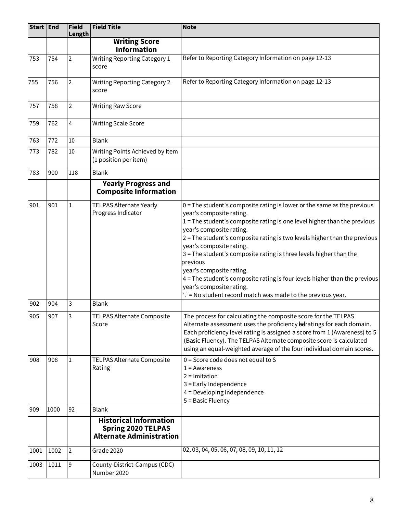| Start   End |      | <b>Field</b><br>Length | <b>Field Title</b>                                                                            | <b>Note</b>                                                                                                                                                                                                                                                                                                                                                                                                                                                                                                                                                                                                             |
|-------------|------|------------------------|-----------------------------------------------------------------------------------------------|-------------------------------------------------------------------------------------------------------------------------------------------------------------------------------------------------------------------------------------------------------------------------------------------------------------------------------------------------------------------------------------------------------------------------------------------------------------------------------------------------------------------------------------------------------------------------------------------------------------------------|
|             |      |                        | <b>Writing Score</b><br><b>Information</b>                                                    |                                                                                                                                                                                                                                                                                                                                                                                                                                                                                                                                                                                                                         |
| 753         | 754  | $\overline{2}$         | <b>Writing Reporting Category 1</b><br>score                                                  | Refer to Reporting Category Information on page 12-13                                                                                                                                                                                                                                                                                                                                                                                                                                                                                                                                                                   |
| 755         | 756  | $\overline{2}$         | <b>Writing Reporting Category 2</b><br>score                                                  | Refer to Reporting Category Information on page 12-13                                                                                                                                                                                                                                                                                                                                                                                                                                                                                                                                                                   |
| 757         | 758  | $\overline{2}$         | <b>Writing Raw Score</b>                                                                      |                                                                                                                                                                                                                                                                                                                                                                                                                                                                                                                                                                                                                         |
| 759         | 762  | $\overline{4}$         | <b>Writing Scale Score</b>                                                                    |                                                                                                                                                                                                                                                                                                                                                                                                                                                                                                                                                                                                                         |
| 763         | 772  | 10                     | <b>Blank</b>                                                                                  |                                                                                                                                                                                                                                                                                                                                                                                                                                                                                                                                                                                                                         |
| 773         | 782  | 10                     | Writing Points Achieved by Item<br>(1 position per item)                                      |                                                                                                                                                                                                                                                                                                                                                                                                                                                                                                                                                                                                                         |
| 783         | 900  | 118                    | <b>Blank</b>                                                                                  |                                                                                                                                                                                                                                                                                                                                                                                                                                                                                                                                                                                                                         |
|             |      |                        | <b>Yearly Progress and</b><br><b>Composite Information</b>                                    |                                                                                                                                                                                                                                                                                                                                                                                                                                                                                                                                                                                                                         |
| 901         | 901  | $\mathbf 1$            | TELPAS Alternate Yearly<br>Progress Indicator                                                 | $0 =$ The student's composite rating is lower or the same as the previous<br>year's composite rating.<br>1 = The student's composite rating is one level higher than the previous<br>year's composite rating.<br>2 = The student's composite rating is two levels higher than the previous<br>year's composite rating.<br>3 = The student's composite rating is three levels higher than the<br>previous<br>year's composite rating.<br>4 = The student's composite rating is four levels higher than the previous<br>year's composite rating.<br>$\therefore$ = No student record match was made to the previous year. |
| 902         | 904  | 3                      | <b>Blank</b>                                                                                  |                                                                                                                                                                                                                                                                                                                                                                                                                                                                                                                                                                                                                         |
| 905         | 907  | 3                      | TELPAS Alternate Composite<br>Score                                                           | The process for calculating the composite score for the TELPAS<br>Alternate assessment uses the proficiency bedratings for each domain.<br>Each proficiency level rating is assigned a score from 1 (Awareness) to 5<br>(Basic Fluency). The TELPAS Alternate composite score is calculated<br>using an equal-weighted average of the four individual domain scores.                                                                                                                                                                                                                                                    |
| 908         | 908  | 1                      | TELPAS Alternate Composite<br>Rating                                                          | $0 =$ Score code does not equal to S<br>$1 =$ Awareness<br>$2 =$ Imitation<br>3 = Early Independence<br>4 = Developing Independence<br>5 = Basic Fluency                                                                                                                                                                                                                                                                                                                                                                                                                                                                |
| 909         | 1000 | 92                     | <b>Blank</b>                                                                                  |                                                                                                                                                                                                                                                                                                                                                                                                                                                                                                                                                                                                                         |
|             |      |                        | <b>Historical Information</b><br><b>Spring 2020 TELPAS</b><br><b>Alternate Administration</b> |                                                                                                                                                                                                                                                                                                                                                                                                                                                                                                                                                                                                                         |
| 1001        | 1002 | $\overline{2}$         | Grade 2020                                                                                    | 02, 03, 04, 05, 06, 07, 08, 09, 10, 11, 12                                                                                                                                                                                                                                                                                                                                                                                                                                                                                                                                                                              |
| 1003        | 1011 | 9                      | County-District-Campus (CDC)<br>Number 2020                                                   |                                                                                                                                                                                                                                                                                                                                                                                                                                                                                                                                                                                                                         |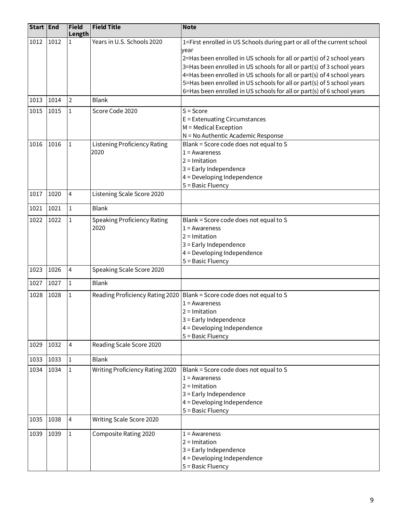| Start End |      | Field<br>Length | <b>Field Title</b>                  | <b>Note</b>                                                                                                                                      |  |  |
|-----------|------|-----------------|-------------------------------------|--------------------------------------------------------------------------------------------------------------------------------------------------|--|--|
| 1012      | 1012 | $\mathbf{1}$    | Years in U.S. Schools 2020          | 1=First enrolled in US Schools during part or all of the current school                                                                          |  |  |
|           |      |                 |                                     | year                                                                                                                                             |  |  |
|           |      |                 |                                     | 2=Has been enrolled in US schools for all or part(s) of 2 school years                                                                           |  |  |
|           |      |                 |                                     | 3=Has been enrolled in US schools for all or part(s) of 3 school years                                                                           |  |  |
|           |      |                 |                                     | 4=Has been enrolled in US schools for all or part(s) of 4 school years                                                                           |  |  |
|           |      |                 |                                     | 5=Has been enrolled in US schools for all or part(s) of 5 school years<br>6=Has been enrolled in US schools for all or part(s) of 6 school years |  |  |
| 1013      | 1014 | $\overline{2}$  | <b>Blank</b>                        |                                                                                                                                                  |  |  |
|           |      |                 |                                     |                                                                                                                                                  |  |  |
| 1015      | 1015 | 1               | Score Code 2020                     | $S = Score$                                                                                                                                      |  |  |
|           |      |                 |                                     | $E =$ Extenuating Circumstances<br>$M =$ Medical Exception                                                                                       |  |  |
|           |      |                 |                                     | N = No Authentic Academic Response                                                                                                               |  |  |
|           | 1016 |                 |                                     |                                                                                                                                                  |  |  |
| 1016      |      | 1               | <b>Listening Proficiency Rating</b> | Blank = Score code does not equal to S                                                                                                           |  |  |
|           |      |                 | 2020                                | $1 =$ Awareness<br>$2 =$ Imitation                                                                                                               |  |  |
|           |      |                 |                                     |                                                                                                                                                  |  |  |
|           |      |                 |                                     | 3 = Early Independence                                                                                                                           |  |  |
|           |      |                 |                                     | 4 = Developing Independence                                                                                                                      |  |  |
| 1017      | 1020 | 4               | Listening Scale Score 2020          | 5 = Basic Fluency                                                                                                                                |  |  |
|           |      |                 |                                     |                                                                                                                                                  |  |  |
| 1021      | 1021 | $\mathbf{1}$    | <b>Blank</b>                        |                                                                                                                                                  |  |  |
| 1022      | 1022 | 1               | <b>Speaking Proficiency Rating</b>  | Blank = Score code does not equal to S                                                                                                           |  |  |
|           |      |                 | 2020                                | $1 =$ Awareness                                                                                                                                  |  |  |
|           |      |                 |                                     | $2 =$ Imitation                                                                                                                                  |  |  |
|           |      |                 |                                     | 3 = Early Independence                                                                                                                           |  |  |
|           |      |                 |                                     | 4 = Developing Independence                                                                                                                      |  |  |
|           |      |                 |                                     | 5 = Basic Fluency                                                                                                                                |  |  |
| 1023      | 1026 | 4               | Speaking Scale Score 2020           |                                                                                                                                                  |  |  |
| 1027      | 1027 | 1               | <b>Blank</b>                        |                                                                                                                                                  |  |  |
| 1028      | 1028 | 1               |                                     | Reading Proficiency Rating 2020   Blank = Score code does not equal to S                                                                         |  |  |
|           |      |                 |                                     | $1 =$ Awareness                                                                                                                                  |  |  |
|           |      |                 |                                     | $2 =$ Imitation                                                                                                                                  |  |  |
|           |      |                 |                                     | 3 = Early Independence                                                                                                                           |  |  |
|           |      |                 |                                     | $4 =$ Developing Independence                                                                                                                    |  |  |
|           |      |                 |                                     | 5 = Basic Fluency                                                                                                                                |  |  |
| 1029      | 1032 | 4               | Reading Scale Score 2020            |                                                                                                                                                  |  |  |
| 1033      | 1033 | $\mathbf 1$     | <b>Blank</b>                        |                                                                                                                                                  |  |  |
| 1034      | 1034 | $\mathbf 1$     | Writing Proficiency Rating 2020     | Blank = Score code does not equal to S                                                                                                           |  |  |
|           |      |                 |                                     | $1 =$ Awareness                                                                                                                                  |  |  |
|           |      |                 |                                     | $2 =$ Imitation                                                                                                                                  |  |  |
|           |      |                 |                                     | 3 = Early Independence                                                                                                                           |  |  |
|           |      |                 |                                     | $4 =$ Developing Independence                                                                                                                    |  |  |
|           |      |                 |                                     | 5 = Basic Fluency                                                                                                                                |  |  |
| 1035      | 1038 | $\overline{4}$  | Writing Scale Score 2020            |                                                                                                                                                  |  |  |
| 1039      | 1039 | 1               | Composite Rating 2020               | $1 =$ Awareness                                                                                                                                  |  |  |
|           |      |                 |                                     | $2 =$ Imitation                                                                                                                                  |  |  |
|           |      |                 |                                     | 3 = Early Independence                                                                                                                           |  |  |
|           |      |                 |                                     | $4 =$ Developing Independence                                                                                                                    |  |  |
|           |      |                 |                                     | 5 = Basic Fluency                                                                                                                                |  |  |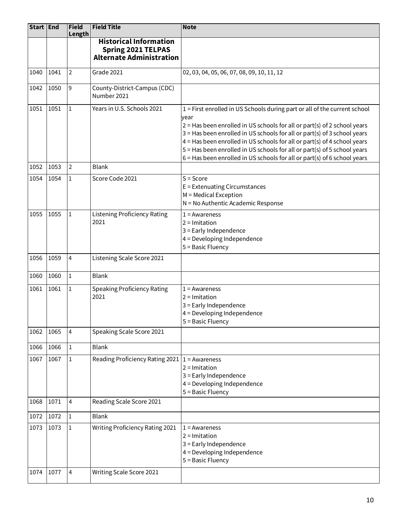| Start End |      | Field<br>Length | <b>Field Title</b>                                                                            | <b>Note</b>                                                                                                                                                                                                                                                                                                                                                                                                                                                                     |  |
|-----------|------|-----------------|-----------------------------------------------------------------------------------------------|---------------------------------------------------------------------------------------------------------------------------------------------------------------------------------------------------------------------------------------------------------------------------------------------------------------------------------------------------------------------------------------------------------------------------------------------------------------------------------|--|
|           |      |                 | <b>Historical Information</b><br><b>Spring 2021 TELPAS</b><br><b>Alternate Administration</b> |                                                                                                                                                                                                                                                                                                                                                                                                                                                                                 |  |
| 1040      | 1041 | $\overline{2}$  | Grade 2021                                                                                    | 02, 03, 04, 05, 06, 07, 08, 09, 10, 11, 12                                                                                                                                                                                                                                                                                                                                                                                                                                      |  |
| 1042      | 1050 | 9               | County-District-Campus (CDC)<br>Number 2021                                                   |                                                                                                                                                                                                                                                                                                                                                                                                                                                                                 |  |
| 1051      | 1051 | $\mathbf{1}$    | Years in U.S. Schools 2021                                                                    | 1 = First enrolled in US Schools during part or all of the current school<br>year<br>$2$ = Has been enrolled in US schools for all or part(s) of 2 school years<br>3 = Has been enrolled in US schools for all or part(s) of 3 school years<br>4 = Has been enrolled in US schools for all or part(s) of 4 school years<br>5 = Has been enrolled in US schools for all or part(s) of 5 school years<br>6 = Has been enrolled in US schools for all or part(s) of 6 school years |  |
| 1052      | 1053 | $\overline{2}$  | <b>Blank</b>                                                                                  |                                                                                                                                                                                                                                                                                                                                                                                                                                                                                 |  |
| 1054      | 1054 | $\mathbf{1}$    | Score Code 2021                                                                               | $S = Score$<br>E = Extenuating Circumstances<br>M = Medical Exception<br>N = No Authentic Academic Response                                                                                                                                                                                                                                                                                                                                                                     |  |
| 1055      | 1055 | $\mathbf 1$     | <b>Listening Proficiency Rating</b><br>2021                                                   | $1 =$ Awareness<br>$2 =$ Imitation<br>3 = Early Independence<br>$4 =$ Developing Independence<br>5 = Basic Fluency                                                                                                                                                                                                                                                                                                                                                              |  |
| 1056      | 1059 | 4               | Listening Scale Score 2021                                                                    |                                                                                                                                                                                                                                                                                                                                                                                                                                                                                 |  |
| 1060      | 1060 | $\mathbf{1}$    | <b>Blank</b>                                                                                  |                                                                                                                                                                                                                                                                                                                                                                                                                                                                                 |  |
| 1061      | 1061 | 1               | <b>Speaking Proficiency Rating</b><br>2021                                                    | $1 =$ Awareness<br>$2 =$ Imitation<br>3 = Early Independence<br>4 = Developing Independence<br>5 = Basic Fluency                                                                                                                                                                                                                                                                                                                                                                |  |
| 1062      | 1065 | 4               | Speaking Scale Score 2021                                                                     |                                                                                                                                                                                                                                                                                                                                                                                                                                                                                 |  |
| 1066      | 1066 | 1               | <b>Blank</b>                                                                                  |                                                                                                                                                                                                                                                                                                                                                                                                                                                                                 |  |
| 1067      | 1067 | 1               | Reading Proficiency Rating 2021                                                               | $1 =$ Awareness<br>$2 =$ Imitation<br>3 = Early Independence<br>4 = Developing Independence<br>5 = Basic Fluency                                                                                                                                                                                                                                                                                                                                                                |  |
| 1068      | 1071 | 4               | Reading Scale Score 2021                                                                      |                                                                                                                                                                                                                                                                                                                                                                                                                                                                                 |  |
| 1072      | 1072 | 1               | <b>Blank</b>                                                                                  |                                                                                                                                                                                                                                                                                                                                                                                                                                                                                 |  |
| 1073      | 1073 | 1               | Writing Proficiency Rating 2021                                                               | $1 =$ Awareness<br>$2 =$ Imitation<br>3 = Early Independence<br>4 = Developing Independence<br>5 = Basic Fluency                                                                                                                                                                                                                                                                                                                                                                |  |
| 1074      | 1077 | 4               | Writing Scale Score 2021                                                                      |                                                                                                                                                                                                                                                                                                                                                                                                                                                                                 |  |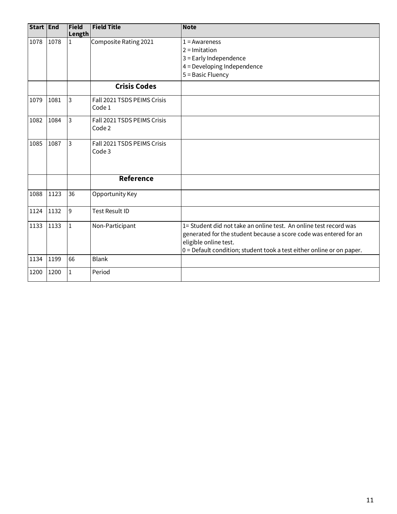| Start End |      | Field<br>Length | <b>Field Title</b>                    | <b>Note</b>                                                                                                                                                                                                                              |
|-----------|------|-----------------|---------------------------------------|------------------------------------------------------------------------------------------------------------------------------------------------------------------------------------------------------------------------------------------|
| 1078      | 1078 | $\mathbf{1}$    | Composite Rating 2021                 | $1 =$ Awareness<br>$2 =$ Imitation<br>3 = Early Independence<br>4 = Developing Independence<br>5 = Basic Fluency                                                                                                                         |
|           |      |                 | <b>Crisis Codes</b>                   |                                                                                                                                                                                                                                          |
| 1079      | 1081 | 3               | Fall 2021 TSDS PEIMS Crisis<br>Code 1 |                                                                                                                                                                                                                                          |
| 1082      | 1084 | 3               | Fall 2021 TSDS PEIMS Crisis<br>Code 2 |                                                                                                                                                                                                                                          |
| 1085      | 1087 | 3               | Fall 2021 TSDS PEIMS Crisis<br>Code 3 |                                                                                                                                                                                                                                          |
|           |      |                 | <b>Reference</b>                      |                                                                                                                                                                                                                                          |
| 1088      | 1123 | 36              | Opportunity Key                       |                                                                                                                                                                                                                                          |
| 1124      | 1132 | 9               | <b>Test Result ID</b>                 |                                                                                                                                                                                                                                          |
| 1133      | 1133 | $\mathbf 1$     | Non-Participant                       | 1= Student did not take an online test. An online test record was<br>generated for the student because a score code was entered for an<br>eligible online test.<br>0 = Default condition; student took a test either online or on paper. |
| 1134      | 1199 | 66              | <b>Blank</b>                          |                                                                                                                                                                                                                                          |
| 1200      | 1200 | $\mathbf 1$     | Period                                |                                                                                                                                                                                                                                          |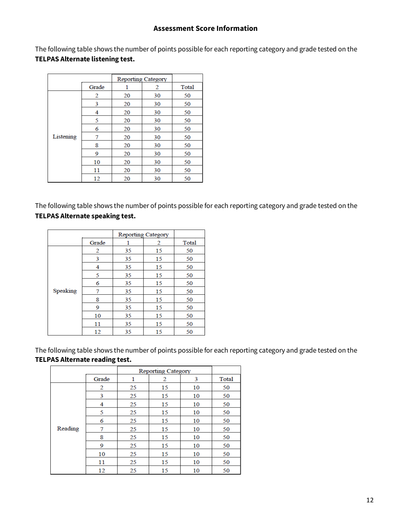#### **Assessment Score Information**

The following table shows the number of points possible for each reporting category and grade tested on the **TELPAS Alternate listening test.** 

|           |       | <b>Reporting Category</b> |    |       |
|-----------|-------|---------------------------|----|-------|
|           | Grade | ı                         | 2  | Total |
|           | 2     | 20                        | 30 | 50    |
|           | 3     | 20                        | 30 | 50    |
|           | 4     | 20                        | 30 | 50    |
|           | 5     | 20                        | 30 | 50    |
|           | 6     | 20                        | 30 | 50    |
| Listening | 7     | 20                        | 30 | 50    |
|           | 8     | 20                        | 30 | 50    |
|           | 9     | 20                        | 30 | 50    |
|           | 10    | 20                        | 30 | 50    |
|           | 11    | 20                        | 30 | 50    |
|           | 12    | 20                        | 30 | 50    |

The following table shows the number of points possible for each reporting category and grade tested on the  **TELPAS Alternate speaking test.** 

|          |       | <b>Reporting Category</b> |    |       |
|----------|-------|---------------------------|----|-------|
|          | Grade |                           | 2  | Total |
|          | 2     | 35                        | 15 | 50    |
|          | 3     | 35                        | 15 | 50    |
|          | 4     | 35                        | 15 | 50    |
|          | 5     | 35                        | 15 | 50    |
|          | 6     | 35                        | 15 | 50    |
| Speaking | 7     | 35                        | 15 | 50    |
|          | 8     | 35                        | 15 | 50    |
|          | 9     | 35                        | 15 | 50    |
|          | 10    | 35                        | 15 | 50    |
|          | 11    | 35                        | 15 | 50    |
|          | 12    | 35                        | 15 | 50    |

The following table shows the number of points possible for each reporting category and grade tested on the **TELPAS Alternate reading test.**

|         |       |    | <b>Reporting Category</b> |    |       |
|---------|-------|----|---------------------------|----|-------|
|         | Grade | 1  | 2                         | 3  | Total |
|         | 2     | 25 | 15                        | 10 | 50    |
|         | 3     | 25 | 15                        | 10 | 50    |
|         | 4     | 25 | 15                        | 10 | 50    |
|         | 5     | 25 | 15                        | 10 | 50    |
|         | 6     | 25 | 15                        | 10 | 50    |
| Reading | 7     | 25 | 15                        | 10 | 50    |
|         | 8     | 25 | 15                        | 10 | 50    |
|         | 9     | 25 | 15                        | 10 | 50    |
|         | 10    | 25 | 15                        | 10 | 50    |
|         | 11    | 25 | 15                        | 10 | 50    |
|         | 12    | 25 | 15                        | 10 | 50    |